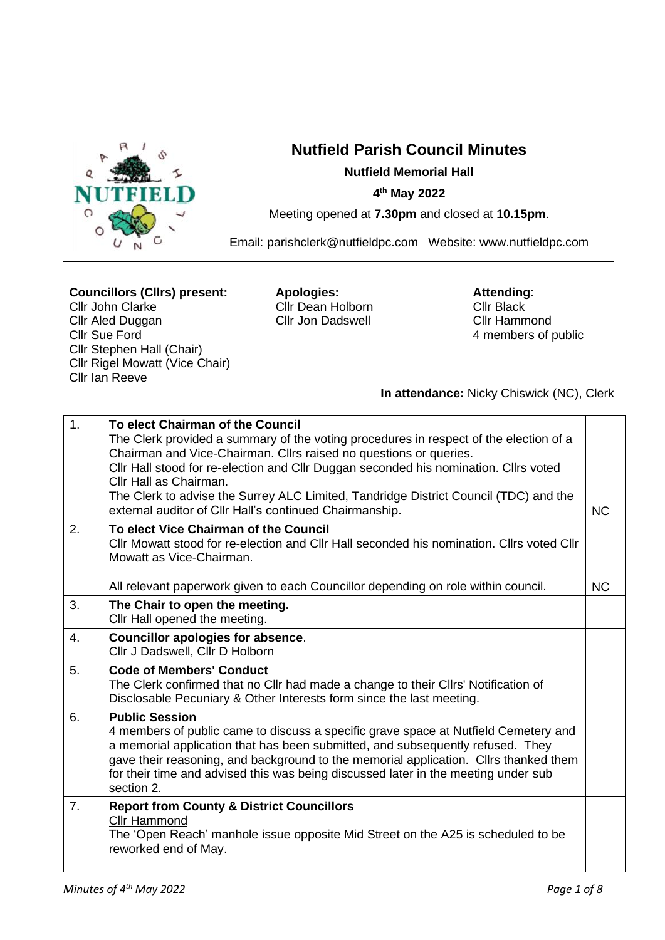

## **Nutfield Parish Council Minutes**

## **Nutfield Memorial Hall**

**4 th May 2022**

Meeting opened at **7.30pm** and closed at **10.15pm**.

Email: parishclerk@nutfieldpc.com Website: www.nutfieldpc.com

## **Councillors (Cllrs) present:**

Cllr John Clarke Cllr Aled Duggan Cllr Sue Ford Cllr Stephen Hall (Chair) Cllr Rigel Mowatt (Vice Chair) Cllr Ian Reeve

**Apologies:** Cllr Dean Holborn Cllr Jon Dadswell

**Attending**: Cllr Black Cllr Hammond 4 members of public

**In attendance:** Nicky Chiswick (NC), Clerk

| 1.             | To elect Chairman of the Council<br>The Clerk provided a summary of the voting procedures in respect of the election of a<br>Chairman and Vice-Chairman. Cllrs raised no questions or queries.<br>Cllr Hall stood for re-election and Cllr Duggan seconded his nomination. Cllrs voted<br>Cllr Hall as Chairman.<br>The Clerk to advise the Surrey ALC Limited, Tandridge District Council (TDC) and the<br>external auditor of Cllr Hall's continued Chairmanship. | <b>NC</b> |
|----------------|---------------------------------------------------------------------------------------------------------------------------------------------------------------------------------------------------------------------------------------------------------------------------------------------------------------------------------------------------------------------------------------------------------------------------------------------------------------------|-----------|
| 2.             | To elect Vice Chairman of the Council<br>CIIr Mowatt stood for re-election and CIIr Hall seconded his nomination. CIIrs voted CIIr<br>Mowatt as Vice-Chairman.                                                                                                                                                                                                                                                                                                      |           |
|                | All relevant paperwork given to each Councillor depending on role within council.                                                                                                                                                                                                                                                                                                                                                                                   | <b>NC</b> |
| 3.             | The Chair to open the meeting.<br>Cllr Hall opened the meeting.                                                                                                                                                                                                                                                                                                                                                                                                     |           |
| 4.             | <b>Councillor apologies for absence.</b><br>Cllr J Dadswell, Cllr D Holborn                                                                                                                                                                                                                                                                                                                                                                                         |           |
| 5.             | <b>Code of Members' Conduct</b><br>The Clerk confirmed that no Cllr had made a change to their Cllrs' Notification of<br>Disclosable Pecuniary & Other Interests form since the last meeting.                                                                                                                                                                                                                                                                       |           |
| 6.             | <b>Public Session</b><br>4 members of public came to discuss a specific grave space at Nutfield Cemetery and<br>a memorial application that has been submitted, and subsequently refused. They<br>gave their reasoning, and background to the memorial application. Cllrs thanked them<br>for their time and advised this was being discussed later in the meeting under sub<br>section 2.                                                                          |           |
| 7 <sub>1</sub> | <b>Report from County &amp; District Councillors</b><br><b>Cllr Hammond</b><br>The 'Open Reach' manhole issue opposite Mid Street on the A25 is scheduled to be<br>reworked end of May.                                                                                                                                                                                                                                                                             |           |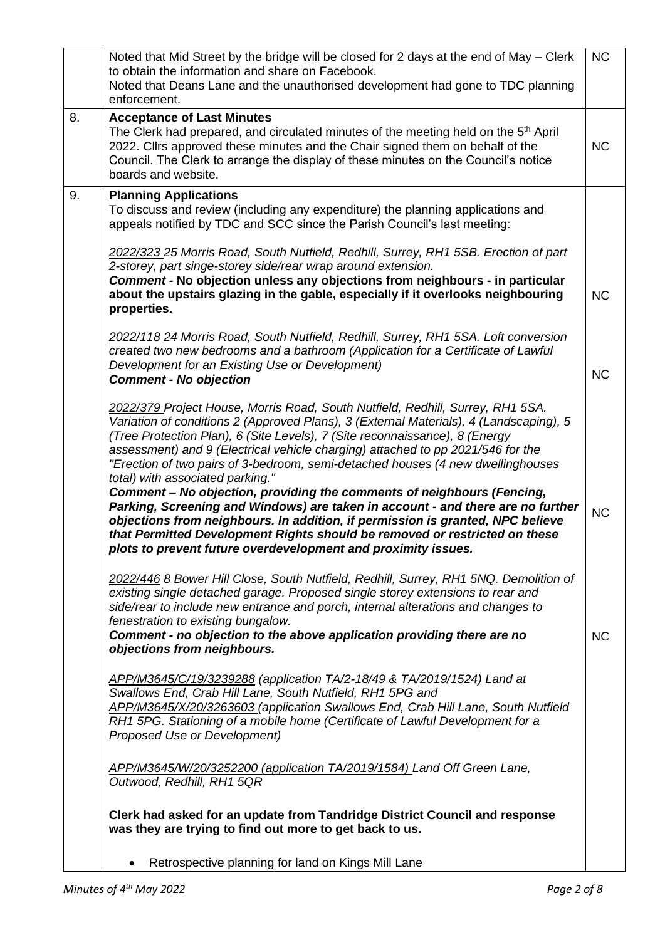|    | Noted that Mid Street by the bridge will be closed for 2 days at the end of May - Clerk<br>to obtain the information and share on Facebook.<br>Noted that Deans Lane and the unauthorised development had gone to TDC planning<br>enforcement.                                                                                                                                                                                                                    | <b>NC</b> |
|----|-------------------------------------------------------------------------------------------------------------------------------------------------------------------------------------------------------------------------------------------------------------------------------------------------------------------------------------------------------------------------------------------------------------------------------------------------------------------|-----------|
| 8. | <b>Acceptance of Last Minutes</b><br>The Clerk had prepared, and circulated minutes of the meeting held on the 5 <sup>th</sup> April<br>2022. Cllrs approved these minutes and the Chair signed them on behalf of the<br>Council. The Clerk to arrange the display of these minutes on the Council's notice<br>boards and website.                                                                                                                                | <b>NC</b> |
| 9. | <b>Planning Applications</b><br>To discuss and review (including any expenditure) the planning applications and<br>appeals notified by TDC and SCC since the Parish Council's last meeting:                                                                                                                                                                                                                                                                       |           |
|    | 2022/323 25 Morris Road, South Nutfield, Redhill, Surrey, RH1 5SB. Erection of part<br>2-storey, part singe-storey side/rear wrap around extension.<br>Comment - No objection unless any objections from neighbours - in particular<br>about the upstairs glazing in the gable, especially if it overlooks neighbouring<br>properties.                                                                                                                            | <b>NC</b> |
|    | 2022/118 24 Morris Road, South Nutfield, Redhill, Surrey, RH1 5SA. Loft conversion<br>created two new bedrooms and a bathroom (Application for a Certificate of Lawful<br>Development for an Existing Use or Development)<br><b>Comment - No objection</b>                                                                                                                                                                                                        | <b>NC</b> |
|    | 2022/379 Project House, Morris Road, South Nutfield, Redhill, Surrey, RH1 5SA.<br>Variation of conditions 2 (Approved Plans), 3 (External Materials), 4 (Landscaping), 5<br>(Tree Protection Plan), 6 (Site Levels), 7 (Site reconnaissance), 8 (Energy<br>assessment) and 9 (Electrical vehicle charging) attached to pp 2021/546 for the<br>"Erection of two pairs of 3-bedroom, semi-detached houses (4 new dwellinghouses<br>total) with associated parking." |           |
|    | Comment - No objection, providing the comments of neighbours (Fencing,<br>Parking, Screening and Windows) are taken in account - and there are no further<br>objections from neighbours. In addition, if permission is granted, NPC believe<br>that Permitted Development Rights should be removed or restricted on these<br>plots to prevent future overdevelopment and proximity issues.                                                                        | <b>NC</b> |
|    | 2022/446 8 Bower Hill Close, South Nutfield, Redhill, Surrey, RH1 5NQ. Demolition of<br>existing single detached garage. Proposed single storey extensions to rear and<br>side/rear to include new entrance and porch, internal alterations and changes to<br>fenestration to existing bungalow.<br>Comment - no objection to the above application providing there are no<br>objections from neighbours.                                                         | <b>NC</b> |
|    | APP/M3645/C/19/3239288 (application TA/2-18/49 & TA/2019/1524) Land at<br>Swallows End, Crab Hill Lane, South Nutfield, RH1 5PG and<br>APP/M3645/X/20/3263603 (application Swallows End, Crab Hill Lane, South Nutfield<br>RH1 5PG. Stationing of a mobile home (Certificate of Lawful Development for a<br>Proposed Use or Development)                                                                                                                          |           |
|    | APP/M3645/W/20/3252200 (application TA/2019/1584) Land Off Green Lane,<br>Outwood, Redhill, RH1 5QR                                                                                                                                                                                                                                                                                                                                                               |           |
|    | Clerk had asked for an update from Tandridge District Council and response<br>was they are trying to find out more to get back to us.                                                                                                                                                                                                                                                                                                                             |           |
|    | Retrospective planning for land on Kings Mill Lane                                                                                                                                                                                                                                                                                                                                                                                                                |           |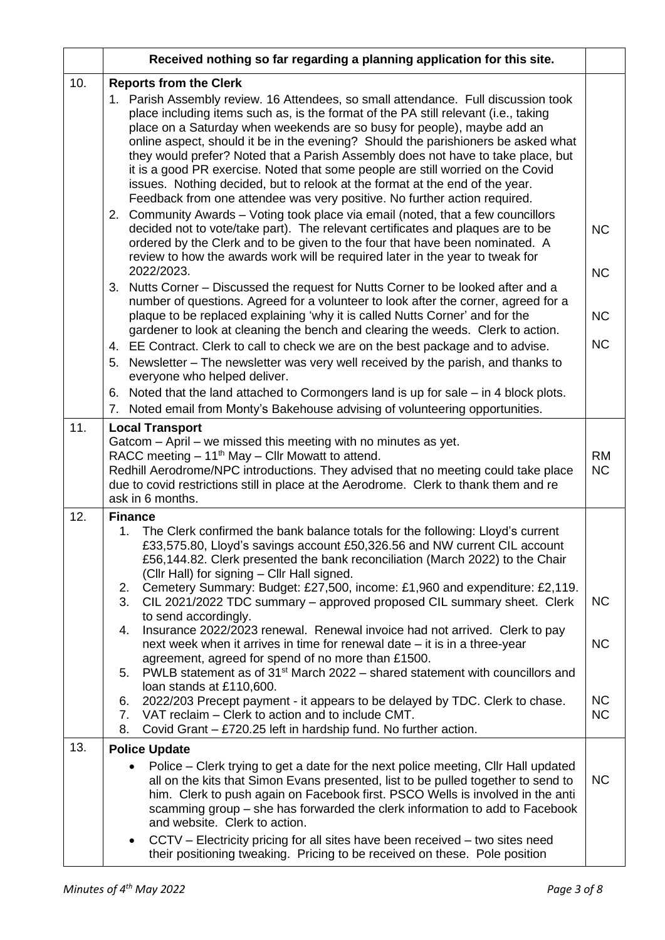|     | Received nothing so far regarding a planning application for this site.                                                                                                                                                                                                                                                                                                                                                                                                                                                                                                                                                                                                                                                                                                                                                                                                                                                                          |                                     |
|-----|--------------------------------------------------------------------------------------------------------------------------------------------------------------------------------------------------------------------------------------------------------------------------------------------------------------------------------------------------------------------------------------------------------------------------------------------------------------------------------------------------------------------------------------------------------------------------------------------------------------------------------------------------------------------------------------------------------------------------------------------------------------------------------------------------------------------------------------------------------------------------------------------------------------------------------------------------|-------------------------------------|
| 10. | <b>Reports from the Clerk</b>                                                                                                                                                                                                                                                                                                                                                                                                                                                                                                                                                                                                                                                                                                                                                                                                                                                                                                                    |                                     |
|     | 1. Parish Assembly review. 16 Attendees, so small attendance. Full discussion took<br>place including items such as, is the format of the PA still relevant (i.e., taking<br>place on a Saturday when weekends are so busy for people), maybe add an<br>online aspect, should it be in the evening? Should the parishioners be asked what<br>they would prefer? Noted that a Parish Assembly does not have to take place, but<br>it is a good PR exercise. Noted that some people are still worried on the Covid<br>issues. Nothing decided, but to relook at the format at the end of the year.<br>Feedback from one attendee was very positive. No further action required.                                                                                                                                                                                                                                                                    |                                     |
|     | 2. Community Awards - Voting took place via email (noted, that a few councillors<br>decided not to vote/take part). The relevant certificates and plaques are to be<br>ordered by the Clerk and to be given to the four that have been nominated. A<br>review to how the awards work will be required later in the year to tweak for<br>2022/2023.                                                                                                                                                                                                                                                                                                                                                                                                                                                                                                                                                                                               | <b>NC</b><br><b>NC</b>              |
|     | Nutts Corner – Discussed the request for Nutts Corner to be looked after and a<br>3.<br>number of questions. Agreed for a volunteer to look after the corner, agreed for a<br>plaque to be replaced explaining 'why it is called Nutts Corner' and for the                                                                                                                                                                                                                                                                                                                                                                                                                                                                                                                                                                                                                                                                                       | <b>NC</b>                           |
|     | gardener to look at cleaning the bench and clearing the weeds. Clerk to action.                                                                                                                                                                                                                                                                                                                                                                                                                                                                                                                                                                                                                                                                                                                                                                                                                                                                  |                                     |
|     | 4. EE Contract. Clerk to call to check we are on the best package and to advise.<br>5. Newsletter – The newsletter was very well received by the parish, and thanks to<br>everyone who helped deliver.                                                                                                                                                                                                                                                                                                                                                                                                                                                                                                                                                                                                                                                                                                                                           | <b>NC</b>                           |
|     | 6. Noted that the land attached to Cormongers land is up for sale $-$ in 4 block plots.                                                                                                                                                                                                                                                                                                                                                                                                                                                                                                                                                                                                                                                                                                                                                                                                                                                          |                                     |
|     | 7. Noted email from Monty's Bakehouse advising of volunteering opportunities.                                                                                                                                                                                                                                                                                                                                                                                                                                                                                                                                                                                                                                                                                                                                                                                                                                                                    |                                     |
| 11. | <b>Local Transport</b><br>Gatcom - April - we missed this meeting with no minutes as yet.<br>RACC meeting $-11th$ May $-$ Cllr Mowatt to attend.<br>Redhill Aerodrome/NPC introductions. They advised that no meeting could take place<br>due to covid restrictions still in place at the Aerodrome. Clerk to thank them and re<br>ask in 6 months.                                                                                                                                                                                                                                                                                                                                                                                                                                                                                                                                                                                              | <b>RM</b><br><b>NC</b>              |
| 12. | <b>Finance</b><br>The Clerk confirmed the bank balance totals for the following: Lloyd's current<br>1.<br>£33,575.80, Lloyd's savings account £50,326.56 and NW current CIL account<br>£56,144.82. Clerk presented the bank reconciliation (March 2022) to the Chair<br>(CIIr Hall) for signing - CIIr Hall signed.<br>Cemetery Summary: Budget: £27,500, income: £1,960 and expenditure: £2,119.<br>2.<br>CIL 2021/2022 TDC summary – approved proposed CIL summary sheet. Clerk<br>3.<br>to send accordingly.<br>Insurance 2022/2023 renewal. Renewal invoice had not arrived. Clerk to pay<br>4.<br>next week when it arrives in time for renewal date – it is in a three-year<br>agreement, agreed for spend of no more than £1500.<br>PWLB statement as of $31st$ March 2022 – shared statement with councillors and<br>5.<br>loan stands at £110,600.<br>2022/203 Precept payment - it appears to be delayed by TDC. Clerk to chase.<br>6. | <b>NC</b><br><b>NC</b><br><b>NC</b> |
|     | VAT reclaim – Clerk to action and to include CMT.<br>7.<br>Covid Grant - £720.25 left in hardship fund. No further action.<br>8.                                                                                                                                                                                                                                                                                                                                                                                                                                                                                                                                                                                                                                                                                                                                                                                                                 | <b>NC</b>                           |
| 13. | <b>Police Update</b>                                                                                                                                                                                                                                                                                                                                                                                                                                                                                                                                                                                                                                                                                                                                                                                                                                                                                                                             |                                     |
|     | Police – Clerk trying to get a date for the next police meeting, Cllr Hall updated<br>all on the kits that Simon Evans presented, list to be pulled together to send to<br>him. Clerk to push again on Facebook first. PSCO Wells is involved in the anti<br>scamming group - she has forwarded the clerk information to add to Facebook<br>and website. Clerk to action.                                                                                                                                                                                                                                                                                                                                                                                                                                                                                                                                                                        | <b>NC</b>                           |
|     | CCTV – Electricity pricing for all sites have been received – two sites need<br>their positioning tweaking. Pricing to be received on these. Pole position                                                                                                                                                                                                                                                                                                                                                                                                                                                                                                                                                                                                                                                                                                                                                                                       |                                     |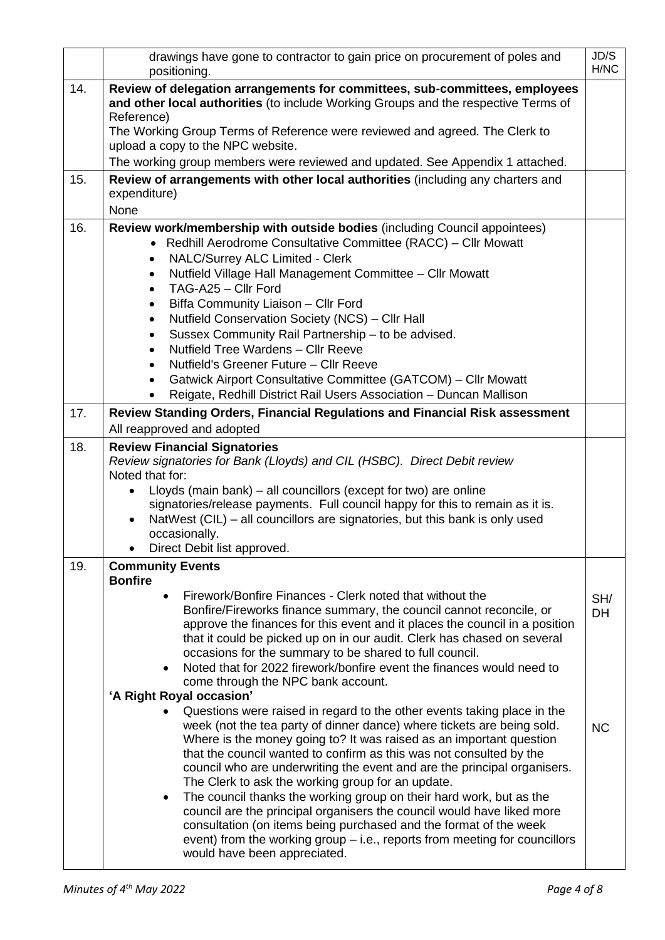|     | drawings have gone to contractor to gain price on procurement of poles and<br>positioning.                                                                                                                                                                                                                                                                                                                                                                                                                                                                                                                                                                                                     | JD/S<br>H/NC     |
|-----|------------------------------------------------------------------------------------------------------------------------------------------------------------------------------------------------------------------------------------------------------------------------------------------------------------------------------------------------------------------------------------------------------------------------------------------------------------------------------------------------------------------------------------------------------------------------------------------------------------------------------------------------------------------------------------------------|------------------|
| 14. | Review of delegation arrangements for committees, sub-committees, employees<br>and other local authorities (to include Working Groups and the respective Terms of<br>Reference)                                                                                                                                                                                                                                                                                                                                                                                                                                                                                                                |                  |
|     | The Working Group Terms of Reference were reviewed and agreed. The Clerk to<br>upload a copy to the NPC website.                                                                                                                                                                                                                                                                                                                                                                                                                                                                                                                                                                               |                  |
|     | The working group members were reviewed and updated. See Appendix 1 attached.                                                                                                                                                                                                                                                                                                                                                                                                                                                                                                                                                                                                                  |                  |
| 15. | Review of arrangements with other local authorities (including any charters and<br>expenditure)                                                                                                                                                                                                                                                                                                                                                                                                                                                                                                                                                                                                |                  |
|     | None                                                                                                                                                                                                                                                                                                                                                                                                                                                                                                                                                                                                                                                                                           |                  |
| 16. | Review work/membership with outside bodies (including Council appointees)<br>• Redhill Aerodrome Consultative Committee (RACC) - Cllr Mowatt<br>NALC/Surrey ALC Limited - Clerk<br>$\bullet$<br>Nutfield Village Hall Management Committee - Cllr Mowatt<br>$\bullet$<br>TAG-A25 - Cllr Ford<br>$\bullet$                                                                                                                                                                                                                                                                                                                                                                                      |                  |
|     | Biffa Community Liaison - Cllr Ford<br>$\bullet$                                                                                                                                                                                                                                                                                                                                                                                                                                                                                                                                                                                                                                               |                  |
|     | Nutfield Conservation Society (NCS) - Cllr Hall<br>$\bullet$<br>Sussex Community Rail Partnership - to be advised.<br>$\bullet$                                                                                                                                                                                                                                                                                                                                                                                                                                                                                                                                                                |                  |
|     | Nutfield Tree Wardens - Cllr Reeve<br>$\bullet$                                                                                                                                                                                                                                                                                                                                                                                                                                                                                                                                                                                                                                                |                  |
|     | Nutfield's Greener Future - Cllr Reeve<br>$\bullet$                                                                                                                                                                                                                                                                                                                                                                                                                                                                                                                                                                                                                                            |                  |
|     | Gatwick Airport Consultative Committee (GATCOM) - Cllr Mowatt<br>$\bullet$                                                                                                                                                                                                                                                                                                                                                                                                                                                                                                                                                                                                                     |                  |
|     | Reigate, Redhill District Rail Users Association - Duncan Mallison                                                                                                                                                                                                                                                                                                                                                                                                                                                                                                                                                                                                                             |                  |
| 17. | Review Standing Orders, Financial Regulations and Financial Risk assessment<br>All reapproved and adopted                                                                                                                                                                                                                                                                                                                                                                                                                                                                                                                                                                                      |                  |
| 18. | <b>Review Financial Signatories</b>                                                                                                                                                                                                                                                                                                                                                                                                                                                                                                                                                                                                                                                            |                  |
|     | Review signatories for Bank (Lloyds) and CIL (HSBC). Direct Debit review                                                                                                                                                                                                                                                                                                                                                                                                                                                                                                                                                                                                                       |                  |
|     | Noted that for:                                                                                                                                                                                                                                                                                                                                                                                                                                                                                                                                                                                                                                                                                |                  |
|     | Lloyds (main bank) – all councillors (except for two) are online<br>$\bullet$<br>signatories/release payments. Full council happy for this to remain as it is.                                                                                                                                                                                                                                                                                                                                                                                                                                                                                                                                 |                  |
|     | NatWest (CIL) – all councillors are signatories, but this bank is only used<br>$\bullet$                                                                                                                                                                                                                                                                                                                                                                                                                                                                                                                                                                                                       |                  |
|     | occasionally.                                                                                                                                                                                                                                                                                                                                                                                                                                                                                                                                                                                                                                                                                  |                  |
|     | Direct Debit list approved.                                                                                                                                                                                                                                                                                                                                                                                                                                                                                                                                                                                                                                                                    |                  |
| 19. | <b>Community Events</b><br><b>Bonfire</b>                                                                                                                                                                                                                                                                                                                                                                                                                                                                                                                                                                                                                                                      |                  |
|     | Firework/Bonfire Finances - Clerk noted that without the<br>Bonfire/Fireworks finance summary, the council cannot reconcile, or<br>approve the finances for this event and it places the council in a position<br>that it could be picked up on in our audit. Clerk has chased on several<br>occasions for the summary to be shared to full council.<br>Noted that for 2022 firework/bonfire event the finances would need to<br>come through the NPC bank account.<br>'A Right Royal occasion'                                                                                                                                                                                                | SH/<br><b>DH</b> |
|     | Questions were raised in regard to the other events taking place in the                                                                                                                                                                                                                                                                                                                                                                                                                                                                                                                                                                                                                        |                  |
|     | week (not the tea party of dinner dance) where tickets are being sold.<br>Where is the money going to? It was raised as an important question<br>that the council wanted to confirm as this was not consulted by the<br>council who are underwriting the event and are the principal organisers.<br>The Clerk to ask the working group for an update.<br>The council thanks the working group on their hard work, but as the<br>٠<br>council are the principal organisers the council would have liked more<br>consultation (on items being purchased and the format of the week<br>event) from the working group – i.e., reports from meeting for councillors<br>would have been appreciated. | <b>NC</b>        |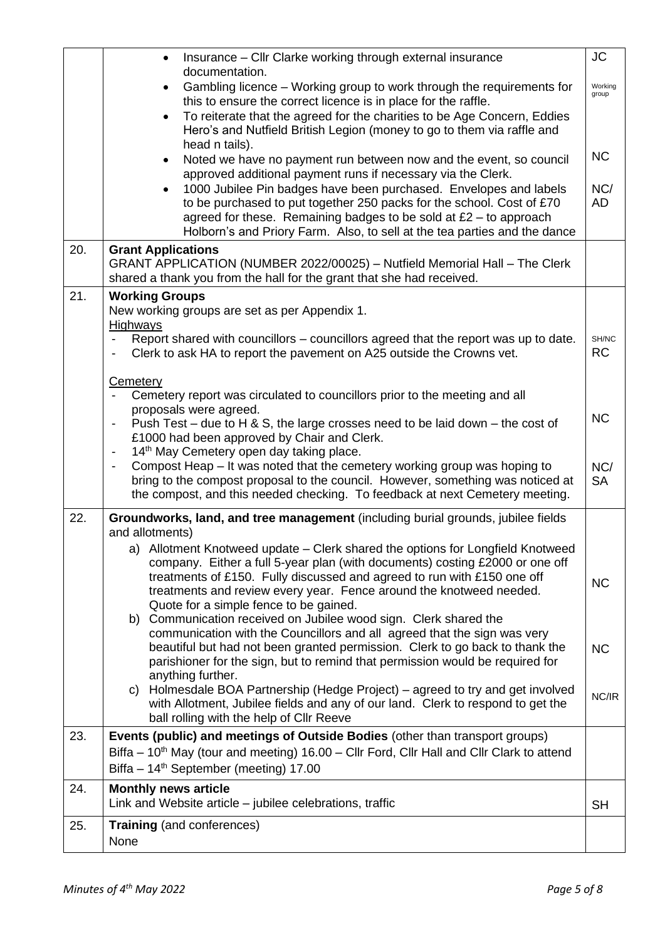|     | Insurance - Cllr Clarke working through external insurance<br>documentation.                                                                                                                                                                                                                                                                                                                                                   | <b>JC</b>          |
|-----|--------------------------------------------------------------------------------------------------------------------------------------------------------------------------------------------------------------------------------------------------------------------------------------------------------------------------------------------------------------------------------------------------------------------------------|--------------------|
|     | Gambling licence - Working group to work through the requirements for<br>this to ensure the correct licence is in place for the raffle.<br>To reiterate that the agreed for the charities to be Age Concern, Eddies<br>$\bullet$<br>Hero's and Nutfield British Legion (money to go to them via raffle and                                                                                                                     | Working<br>group   |
|     | head n tails).<br>Noted we have no payment run between now and the event, so council<br>approved additional payment runs if necessary via the Clerk.                                                                                                                                                                                                                                                                           | <b>NC</b>          |
|     | 1000 Jubilee Pin badges have been purchased. Envelopes and labels<br>$\bullet$<br>to be purchased to put together 250 packs for the school. Cost of £70<br>agreed for these. Remaining badges to be sold at $£2 -$ to approach<br>Holborn's and Priory Farm. Also, to sell at the tea parties and the dance                                                                                                                    | NC/<br><b>AD</b>   |
| 20. | <b>Grant Applications</b><br>GRANT APPLICATION (NUMBER 2022/00025) - Nutfield Memorial Hall - The Clerk<br>shared a thank you from the hall for the grant that she had received.                                                                                                                                                                                                                                               |                    |
| 21. | <b>Working Groups</b><br>New working groups are set as per Appendix 1.<br>Highways                                                                                                                                                                                                                                                                                                                                             |                    |
|     | Report shared with councillors – councillors agreed that the report was up to date.<br>Clerk to ask HA to report the pavement on A25 outside the Crowns vet.                                                                                                                                                                                                                                                                   | SH/NC<br><b>RC</b> |
|     | Cemetery<br>Cemetery report was circulated to councillors prior to the meeting and all<br>proposals were agreed.<br>Push Test – due to H & S, the large crosses need to be laid down – the cost of<br>£1000 had been approved by Chair and Clerk.                                                                                                                                                                              | <b>NC</b>          |
|     | 14 <sup>th</sup> May Cemetery open day taking place.<br>Compost Heap - It was noted that the cemetery working group was hoping to<br>$\overline{\phantom{a}}$<br>bring to the compost proposal to the council. However, something was noticed at<br>the compost, and this needed checking. To feedback at next Cemetery meeting.                                                                                               | NC/<br><b>SA</b>   |
| 22. | Groundworks, land, and tree management (including burial grounds, jubilee fields<br>and allotments)                                                                                                                                                                                                                                                                                                                            |                    |
|     | a) Allotment Knotweed update - Clerk shared the options for Longfield Knotweed<br>company. Either a full 5-year plan (with documents) costing £2000 or one off<br>treatments of £150. Fully discussed and agreed to run with £150 one off<br>treatments and review every year. Fence around the knotweed needed.<br>Quote for a simple fence to be gained.<br>b) Communication received on Jubilee wood sign. Clerk shared the | <b>NC</b>          |
|     | communication with the Councillors and all agreed that the sign was very<br>beautiful but had not been granted permission. Clerk to go back to thank the<br>parishioner for the sign, but to remind that permission would be required for<br>anything further.                                                                                                                                                                 | <b>NC</b>          |
|     | c) Holmesdale BOA Partnership (Hedge Project) - agreed to try and get involved<br>with Allotment, Jubilee fields and any of our land. Clerk to respond to get the<br>ball rolling with the help of Cllr Reeve                                                                                                                                                                                                                  | NC/IR              |
| 23. | Events (public) and meetings of Outside Bodies (other than transport groups)<br>Biffa - 10 <sup>th</sup> May (tour and meeting) 16.00 - Cllr Ford, Cllr Hall and Cllr Clark to attend<br>Biffa – $14th$ September (meeting) 17.00                                                                                                                                                                                              |                    |
| 24. | <b>Monthly news article</b><br>Link and Website article – jubilee celebrations, traffic                                                                                                                                                                                                                                                                                                                                        | <b>SH</b>          |
| 25. | <b>Training</b> (and conferences)<br>None                                                                                                                                                                                                                                                                                                                                                                                      |                    |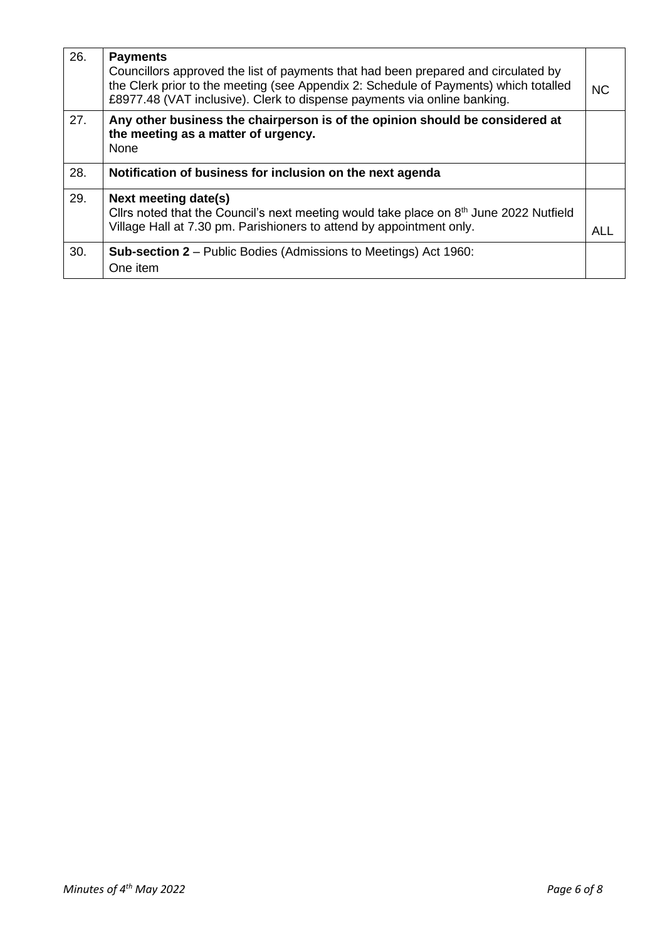| 26. | <b>Payments</b><br>Councillors approved the list of payments that had been prepared and circulated by<br>the Clerk prior to the meeting (see Appendix 2: Schedule of Payments) which totalled<br>£8977.48 (VAT inclusive). Clerk to dispense payments via online banking. | <b>NC</b> |
|-----|---------------------------------------------------------------------------------------------------------------------------------------------------------------------------------------------------------------------------------------------------------------------------|-----------|
| 27. | Any other business the chairperson is of the opinion should be considered at<br>the meeting as a matter of urgency.<br>None                                                                                                                                               |           |
| 28. | Notification of business for inclusion on the next agenda                                                                                                                                                                                                                 |           |
| 29. | Next meeting date(s)<br>Cllrs noted that the Council's next meeting would take place on 8 <sup>th</sup> June 2022 Nutfield<br>Village Hall at 7.30 pm. Parishioners to attend by appointment only.                                                                        | ALL       |
| 30. | <b>Sub-section 2</b> – Public Bodies (Admissions to Meetings) Act 1960:<br>One item                                                                                                                                                                                       |           |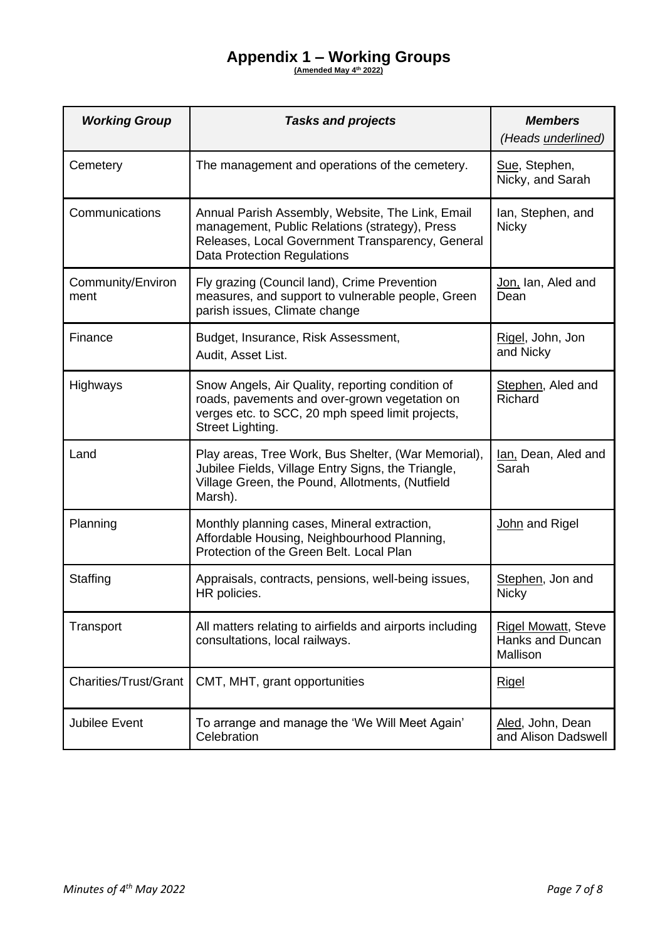## **Appendix 1 – Working Groups**

**(Amended May 4 th 2022)**

| <b>Working Group</b>         | <b>Tasks and projects</b>                                                                                                                                                                    | <b>Members</b><br>(Heads <i>underlined</i> )               |
|------------------------------|----------------------------------------------------------------------------------------------------------------------------------------------------------------------------------------------|------------------------------------------------------------|
| Cemetery                     | The management and operations of the cemetery.                                                                                                                                               | Sue, Stephen,<br>Nicky, and Sarah                          |
| Communications               | Annual Parish Assembly, Website, The Link, Email<br>management, Public Relations (strategy), Press<br>Releases, Local Government Transparency, General<br><b>Data Protection Regulations</b> | Ian, Stephen, and<br><b>Nicky</b>                          |
| Community/Environ<br>ment    | Fly grazing (Council land), Crime Prevention<br>measures, and support to vulnerable people, Green<br>parish issues, Climate change                                                           | Jon, Ian, Aled and<br>Dean                                 |
| Finance                      | Budget, Insurance, Risk Assessment,<br>Audit, Asset List.                                                                                                                                    | Rigel, John, Jon<br>and Nicky                              |
| Highways                     | Snow Angels, Air Quality, reporting condition of<br>roads, pavements and over-grown vegetation on<br>verges etc. to SCC, 20 mph speed limit projects,<br>Street Lighting.                    | Stephen, Aled and<br>Richard                               |
| Land                         | Play areas, Tree Work, Bus Shelter, (War Memorial),<br>Jubilee Fields, Village Entry Signs, the Triangle,<br>Village Green, the Pound, Allotments, (Nutfield<br>Marsh).                      | lan, Dean, Aled and<br>Sarah                               |
| Planning                     | Monthly planning cases, Mineral extraction,<br>Affordable Housing, Neighbourhood Planning,<br>Protection of the Green Belt. Local Plan                                                       | John and Rigel                                             |
| Staffing                     | Appraisals, contracts, pensions, well-being issues,<br>HR policies.                                                                                                                          | Stephen, Jon and<br><b>Nicky</b>                           |
| Transport                    | All matters relating to airfields and airports including<br>consultations, local railways.                                                                                                   | <b>Rigel Mowatt, Steve</b><br>Hanks and Duncan<br>Mallison |
| <b>Charities/Trust/Grant</b> | CMT, MHT, grant opportunities                                                                                                                                                                | <b>Rigel</b>                                               |
| <b>Jubilee Event</b>         | To arrange and manage the 'We Will Meet Again'<br>Celebration                                                                                                                                | Aled, John, Dean<br>and Alison Dadswell                    |